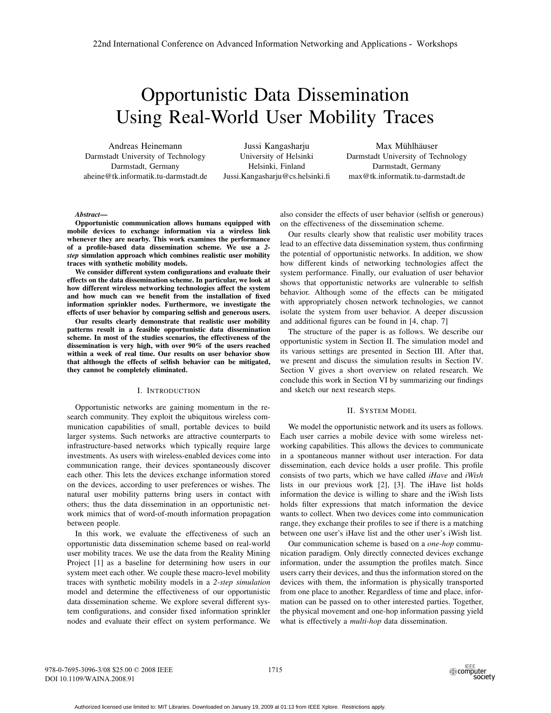# Opportunistic Data Dissemination Using Real-World User Mobility Traces

Andreas Heinemann Darmstadt University of Technology Darmstadt, Germany aheine@tk.informatik.tu-darmstadt.de

Jussi Kangasharju University of Helsinki Helsinki, Finland Jussi.Kangasharju@cs.helsinki.fi

Max Mühlhäuser Darmstadt University of Technology Darmstadt, Germany max@tk.informatik.tu-darmstadt.de

#### *Abstract***—**

**Opportunistic communication allows humans equipped with mobile devices to exchange information via a wireless link whenever they are nearby. This work examines the performance of a profile-based data dissemination scheme. We use a** *2 step* **simulation approach which combines realistic user mobility traces with synthetic mobility models.**

**We consider different system configurations and evaluate their effects on the data dissemination scheme. In particular, we look at how different wireless networking technologies affect the system and how much can we benefit from the installation of fixed information sprinkler nodes. Furthermore, we investigate the effects of user behavior by comparing selfish and generous users.**

**Our results clearly demonstrate that realistic user mobility patterns result in a feasible opportunistic data dissemination scheme. In most of the studies scenarios, the effectiveness of the dissemination is very high, with over 90% of the users reached within a week of real time. Our results on user behavior show that although the effects of selfish behavior can be mitigated, they cannot be completely eliminated.**

#### I. INTRODUCTION

Opportunistic networks are gaining momentum in the research community. They exploit the ubiquitous wireless communication capabilities of small, portable devices to build larger systems. Such networks are attractive counterparts to infrastructure-based networks which typically require large investments. As users with wireless-enabled devices come into communication range, their devices spontaneously discover each other. This lets the devices exchange information stored on the devices, according to user preferences or wishes. The natural user mobility patterns bring users in contact with others; thus the data dissemination in an opportunistic network mimics that of word-of-mouth information propagation between people.

In this work, we evaluate the effectiveness of such an opportunistic data dissemination scheme based on real-world user mobility traces. We use the data from the Reality Mining Project [1] as a baseline for determining how users in our system meet each other. We couple these macro-level mobility traces with synthetic mobility models in a *2-step simulation* model and determine the effectiveness of our opportunistic data dissemination scheme. We explore several different system configurations, and consider fixed information sprinkler nodes and evaluate their effect on system performance. We

also consider the effects of user behavior (selfish or generous) on the effectiveness of the dissemination scheme.

Our results clearly show that realistic user mobility traces lead to an effective data dissemination system, thus confirming the potential of opportunistic networks. In addition, we show how different kinds of networking technologies affect the system performance. Finally, our evaluation of user behavior shows that opportunistic networks are vulnerable to selfish behavior. Although some of the effects can be mitigated with appropriately chosen network technologies, we cannot isolate the system from user behavior. A deeper discussion and additional figures can be found in [4, chap. 7]

The structure of the paper is as follows. We describe our opportunistic system in Section II. The simulation model and its various settings are presented in Section III. After that, we present and discuss the simulation results in Section IV. Section V gives a short overview on related research. We conclude this work in Section VI by summarizing our findings and sketch our next research steps.

#### II. SYSTEM MODEL

We model the opportunistic network and its users as follows. Each user carries a mobile device with some wireless networking capabilities. This allows the devices to communicate in a spontaneous manner without user interaction. For data dissemination, each device holds a user profile. This profile consists of two parts, which we have called *iHave* and *iWish* lists in our previous work [2], [3]. The iHave list holds information the device is willing to share and the iWish lists holds filter expressions that match information the device wants to collect. When two devices come into communication range, they exchange their profiles to see if there is a matching between one user's iHave list and the other user's iWish list.

Our communication scheme is based on a *one-hop* communication paradigm. Only directly connected devices exchange information, under the assumption the profiles match. Since users carry their devices, and thus the information stored on the devices with them, the information is physically transported from one place to another. Regardless of time and place, information can be passed on to other interested parties. Together, the physical movement and one-hop information passing yield what is effectively a *multi-hop* data dissemination.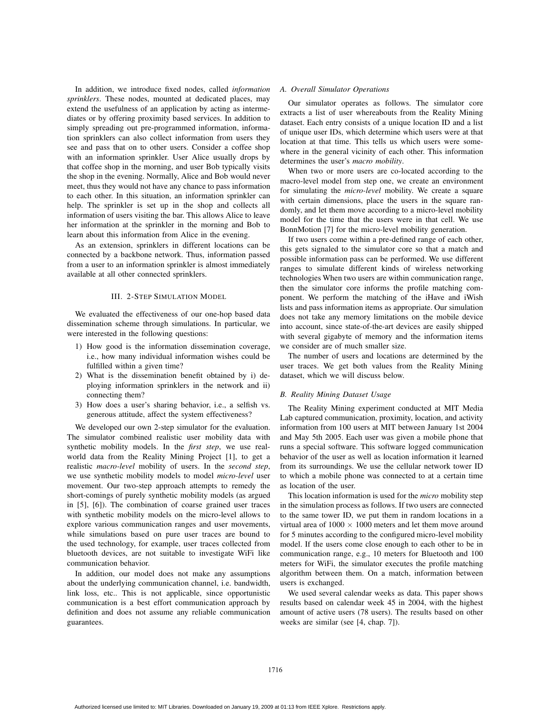In addition, we introduce fixed nodes, called *information sprinklers*. These nodes, mounted at dedicated places, may extend the usefulness of an application by acting as intermediates or by offering proximity based services. In addition to simply spreading out pre-programmed information, information sprinklers can also collect information from users they see and pass that on to other users. Consider a coffee shop with an information sprinkler. User Alice usually drops by that coffee shop in the morning, and user Bob typically visits the shop in the evening. Normally, Alice and Bob would never meet, thus they would not have any chance to pass information to each other. In this situation, an information sprinkler can help. The sprinkler is set up in the shop and collects all information of users visiting the bar. This allows Alice to leave her information at the sprinkler in the morning and Bob to learn about this information from Alice in the evening.

As an extension, sprinklers in different locations can be connected by a backbone network. Thus, information passed from a user to an information sprinkler is almost immediately available at all other connected sprinklers.

#### III. 2-STEP SIMULATION MODEL

We evaluated the effectiveness of our one-hop based data dissemination scheme through simulations. In particular, we were interested in the following questions:

- 1) How good is the information dissemination coverage, i.e., how many individual information wishes could be fulfilled within a given time?
- 2) What is the dissemination benefit obtained by i) deploying information sprinklers in the network and ii) connecting them?
- 3) How does a user's sharing behavior, i.e., a selfish vs. generous attitude, affect the system effectiveness?

We developed our own 2-step simulator for the evaluation. The simulator combined realistic user mobility data with synthetic mobility models. In the *first step*, we use realworld data from the Reality Mining Project [1], to get a realistic *macro-level* mobility of users. In the *second step*, we use synthetic mobility models to model *micro-level* user movement. Our two-step approach attempts to remedy the short-comings of purely synthetic mobility models (as argued in [5], [6]). The combination of coarse grained user traces with synthetic mobility models on the micro-level allows to explore various communication ranges and user movements, while simulations based on pure user traces are bound to the used technology, for example, user traces collected from bluetooth devices, are not suitable to investigate WiFi like communication behavior.

In addition, our model does not make any assumptions about the underlying communication channel, i.e. bandwidth, link loss, etc.. This is not applicable, since opportunistic communication is a best effort communication approach by definition and does not assume any reliable communication guarantees.

### *A. Overall Simulator Operations*

Our simulator operates as follows. The simulator core extracts a list of user whereabouts from the Reality Mining dataset. Each entry consists of a unique location ID and a list of unique user IDs, which determine which users were at that location at that time. This tells us which users were somewhere in the general vicinity of each other. This information determines the user's *macro mobility*.

When two or more users are co-located according to the macro-level model from step one, we create an environment for simulating the *micro-level* mobility. We create a square with certain dimensions, place the users in the square randomly, and let them move according to a micro-level mobility model for the time that the users were in that cell. We use BonnMotion [7] for the micro-level mobility generation.

If two users come within a pre-defined range of each other, this gets signaled to the simulator core so that a match and possible information pass can be performed. We use different ranges to simulate different kinds of wireless networking technologies When two users are within communication range, then the simulator core informs the profile matching component. We perform the matching of the iHave and iWish lists and pass information items as appropriate. Our simulation does not take any memory limitations on the mobile device into account, since state-of-the-art devices are easily shipped with several gigabyte of memory and the information items we consider are of much smaller size.

The number of users and locations are determined by the user traces. We get both values from the Reality Mining dataset, which we will discuss below.

# *B. Reality Mining Dataset Usage*

The Reality Mining experiment conducted at MIT Media Lab captured communication, proximity, location, and activity information from 100 users at MIT between January 1st 2004 and May 5th 2005. Each user was given a mobile phone that runs a special software. This software logged communication behavior of the user as well as location information it learned from its surroundings. We use the cellular network tower ID to which a mobile phone was connected to at a certain time as location of the user.

This location information is used for the *micro* mobility step in the simulation process as follows. If two users are connected to the same tower ID, we put them in random locations in a virtual area of  $1000 \times 1000$  meters and let them move around for 5 minutes according to the configured micro-level mobility model. If the users come close enough to each other to be in communication range, e.g., 10 meters for Bluetooth and 100 meters for WiFi, the simulator executes the profile matching algorithm between them. On a match, information between users is exchanged.

We used several calendar weeks as data. This paper shows results based on calendar week 45 in 2004, with the highest amount of active users (78 users). The results based on other weeks are similar (see [4, chap. 7]).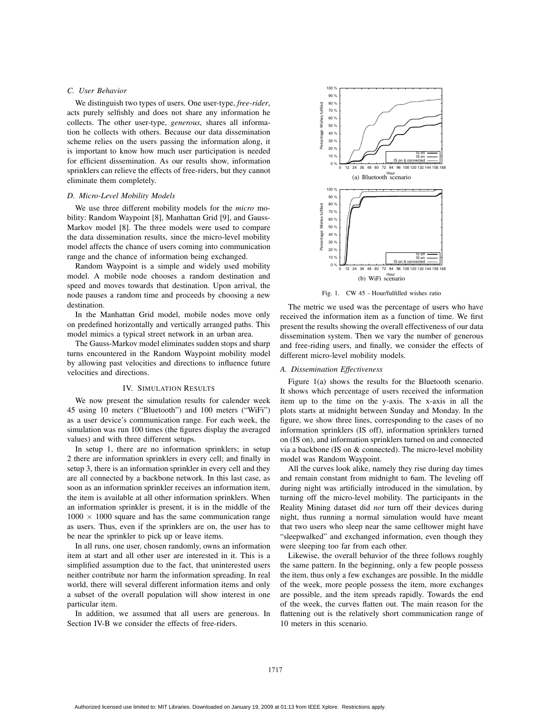#### *C. User Behavior*

We distinguish two types of users. One user-type, *free-rider*, acts purely selfishly and does not share any information he collects. The other user-type, *generous*, shares all information he collects with others. Because our data dissemination scheme relies on the users passing the information along, it is important to know how much user participation is needed for efficient dissemination. As our results show, information sprinklers can relieve the effects of free-riders, but they cannot eliminate them completely.

# *D. Micro-Level Mobility Models*

We use three different mobility models for the *micro* mobility: Random Waypoint [8], Manhattan Grid [9], and Gauss-Markov model [8]. The three models were used to compare the data dissemination results, since the micro-level mobility model affects the chance of users coming into communication range and the chance of information being exchanged.

Random Waypoint is a simple and widely used mobility model. A mobile node chooses a random destination and speed and moves towards that destination. Upon arrival, the node pauses a random time and proceeds by choosing a new destination.

In the Manhattan Grid model, mobile nodes move only on predefined horizontally and vertically arranged paths. This model mimics a typical street network in an urban area.

The Gauss-Markov model eliminates sudden stops and sharp turns encountered in the Random Waypoint mobility model by allowing past velocities and directions to influence future velocities and directions.

# IV. SIMULATION RESULTS

We now present the simulation results for calender week 45 using 10 meters ("Bluetooth") and 100 meters ("WiFi") as a user device's communication range. For each week, the simulation was run 100 times (the figures display the averaged values) and with three different setups.

In setup 1, there are no information sprinklers; in setup 2 there are information sprinklers in every cell; and finally in setup 3, there is an information sprinkler in every cell and they are all connected by a backbone network. In this last case, as soon as an information sprinkler receives an information item, the item is available at all other information sprinklers. When an information sprinkler is present, it is in the middle of the  $1000 \times 1000$  square and has the same communication range as users. Thus, even if the sprinklers are on, the user has to be near the sprinkler to pick up or leave items.

In all runs, one user, chosen randomly, owns an information item at start and all other user are interested in it. This is a simplified assumption due to the fact, that uninterested users neither contribute nor harm the information spreading. In real world, there will several different information items and only a subset of the overall population will show interest in one particular item.

In addition, we assumed that all users are generous. In Section IV-B we consider the effects of free-riders.



Fig. 1. CW 45 - Hour/fulfilled wishes ratio

The metric we used was the percentage of users who have received the information item as a function of time. We first present the results showing the overall effectiveness of our data dissemination system. Then we vary the number of generous and free-riding users, and finally, we consider the effects of different micro-level mobility models.

# *A. Dissemination Effectiveness*

Figure 1(a) shows the results for the Bluetooth scenario. It shows which percentage of users received the information item up to the time on the y-axis. The x-axis in all the plots starts at midnight between Sunday and Monday. In the figure, we show three lines, corresponding to the cases of no information sprinklers (IS off), information sprinklers turned on (IS on), and information sprinklers turned on and connected via a backbone (IS on & connected). The micro-level mobility model was Random Waypoint.

All the curves look alike, namely they rise during day times and remain constant from midnight to 6am. The leveling off during night was artificially introduced in the simulation, by turning off the micro-level mobility. The participants in the Reality Mining dataset did *not* turn off their devices during night, thus running a normal simulation would have meant that two users who sleep near the same celltower might have "sleepwalked" and exchanged information, even though they were sleeping too far from each other.

Likewise, the overall behavior of the three follows roughly the same pattern. In the beginning, only a few people possess the item, thus only a few exchanges are possible. In the middle of the week, more people possess the item, more exchanges are possible, and the item spreads rapidly. Towards the end of the week, the curves flatten out. The main reason for the flattening out is the relatively short communication range of 10 meters in this scenario.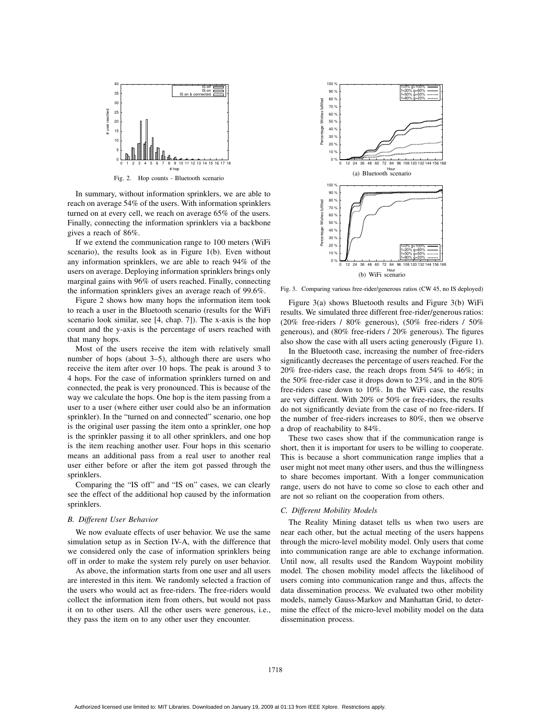

Fig. 2. Hop counts - Bluetooth scenario

In summary, without information sprinklers, we are able to reach on average 54% of the users. With information sprinklers turned on at every cell, we reach on average 65% of the users. Finally, connecting the information sprinklers via a backbone gives a reach of 86%.

If we extend the communication range to 100 meters (WiFi scenario), the results look as in Figure 1(b). Even without any information sprinklers, we are able to reach 94% of the users on average. Deploying information sprinklers brings only marginal gains with 96% of users reached. Finally, connecting the information sprinklers gives an average reach of 99.6%.

Figure 2 shows how many hops the information item took to reach a user in the Bluetooth scenario (results for the WiFi scenario look similar, see [4, chap. 7]). The x-axis is the hop count and the y-axis is the percentage of users reached with that many hops.

Most of the users receive the item with relatively small number of hops (about 3–5), although there are users who receive the item after over 10 hops. The peak is around 3 to 4 hops. For the case of information sprinklers turned on and connected, the peak is very pronounced. This is because of the way we calculate the hops. One hop is the item passing from a user to a user (where either user could also be an information sprinkler). In the "turned on and connected" scenario, one hop is the original user passing the item onto a sprinkler, one hop is the sprinkler passing it to all other sprinklers, and one hop is the item reaching another user. Four hops in this scenario means an additional pass from a real user to another real user either before or after the item got passed through the sprinklers.

Comparing the "IS off" and "IS on" cases, we can clearly see the effect of the additional hop caused by the information sprinklers.

#### *B. Different User Behavior*

We now evaluate effects of user behavior. We use the same simulation setup as in Section IV-A, with the difference that we considered only the case of information sprinklers being off in order to make the system rely purely on user behavior.

As above, the information starts from one user and all users are interested in this item. We randomly selected a fraction of the users who would act as free-riders. The free-riders would collect the information item from others, but would not pass it on to other users. All the other users were generous, i.e., they pass the item on to any other user they encounter.



Fig. 3. Comparing various free-rider/generous ratios (CW 45, no IS deployed)

Figure 3(a) shows Bluetooth results and Figure 3(b) WiFi results. We simulated three different free-rider/generous ratios: (20% free-riders / 80% generous), (50% free-riders / 50% generous), and (80% free-riders / 20% generous). The figures also show the case with all users acting generously (Figure 1).

In the Bluetooth case, increasing the number of free-riders significantly decreases the percentage of users reached. For the 20% free-riders case, the reach drops from 54% to 46%; in the 50% free-rider case it drops down to 23%, and in the 80% free-riders case down to 10%. In the WiFi case, the results are very different. With 20% or 50% or free-riders, the results do not significantly deviate from the case of no free-riders. If the number of free-riders increases to 80%, then we observe a drop of reachability to 84%.

These two cases show that if the communication range is short, then it is important for users to be willing to cooperate. This is because a short communication range implies that a user might not meet many other users, and thus the willingness to share becomes important. With a longer communication range, users do not have to come so close to each other and are not so reliant on the cooperation from others.

# *C. Different Mobility Models*

The Reality Mining dataset tells us when two users are near each other, but the actual meeting of the users happens through the micro-level mobility model. Only users that come into communication range are able to exchange information. Until now, all results used the Random Waypoint mobility model. The chosen mobility model affects the likelihood of users coming into communication range and thus, affects the data dissemination process. We evaluated two other mobility models, namely Gauss-Markov and Manhattan Grid, to determine the effect of the micro-level mobility model on the data dissemination process.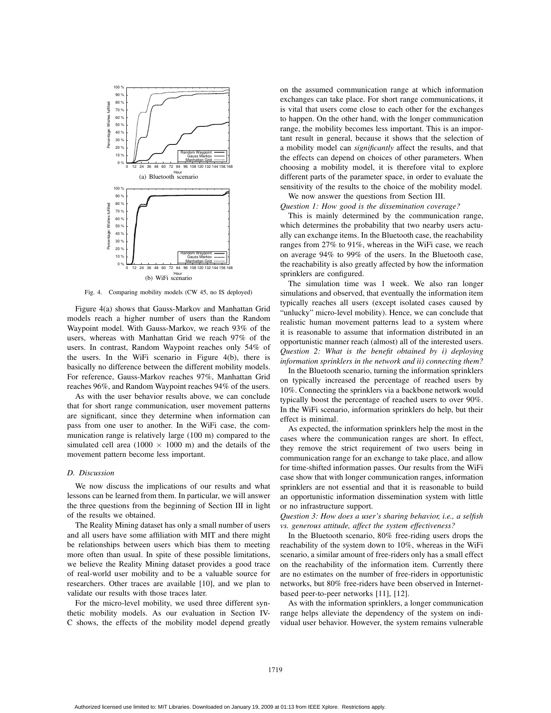

Fig. 4. Comparing mobility models (CW 45, no IS deployed)

Figure 4(a) shows that Gauss-Markov and Manhattan Grid models reach a higher number of users than the Random Waypoint model. With Gauss-Markov, we reach 93% of the users, whereas with Manhattan Grid we reach 97% of the users. In contrast, Random Waypoint reaches only 54% of the users. In the WiFi scenario in Figure 4(b), there is basically no difference between the different mobility models. For reference, Gauss-Markov reaches 97%, Manhattan Grid reaches 96%, and Random Waypoint reaches 94% of the users.

As with the user behavior results above, we can conclude that for short range communication, user movement patterns are significant, since they determine when information can pass from one user to another. In the WiFi case, the communication range is relatively large (100 m) compared to the simulated cell area (1000  $\times$  1000 m) and the details of the movement pattern become less important.

# *D. Discussion*

We now discuss the implications of our results and what lessons can be learned from them. In particular, we will answer the three questions from the beginning of Section III in light of the results we obtained.

The Reality Mining dataset has only a small number of users and all users have some affiliation with MIT and there might be relationships between users which bias them to meeting more often than usual. In spite of these possible limitations, we believe the Reality Mining dataset provides a good trace of real-world user mobility and to be a valuable source for researchers. Other traces are available [10], and we plan to validate our results with those traces later.

For the micro-level mobility, we used three different synthetic mobility models. As our evaluation in Section IV-C shows, the effects of the mobility model depend greatly on the assumed communication range at which information exchanges can take place. For short range communications, it is vital that users come close to each other for the exchanges to happen. On the other hand, with the longer communication range, the mobility becomes less important. This is an important result in general, because it shows that the selection of a mobility model can *significantly* affect the results, and that the effects can depend on choices of other parameters. When choosing a mobility model, it is therefore vital to explore different parts of the parameter space, in order to evaluate the sensitivity of the results to the choice of the mobility model. We now answer the questions from Section III.

*Question 1: How good is the dissemination coverage?*

This is mainly determined by the communication range, which determines the probability that two nearby users actually can exchange items. In the Bluetooth case, the reachability ranges from 27% to 91%, whereas in the WiFi case, we reach on average 94% to 99% of the users. In the Bluetooth case, the reachability is also greatly affected by how the information sprinklers are configured.

The simulation time was 1 week. We also ran longer simulations and observed, that eventually the information item typically reaches all users (except isolated cases caused by "unlucky" micro-level mobility). Hence, we can conclude that realistic human movement patterns lead to a system where it is reasonable to assume that information distributed in an opportunistic manner reach (almost) all of the interested users. *Question 2: What is the benefit obtained by i) deploying information sprinklers in the network and ii) connecting them?*

In the Bluetooth scenario, turning the information sprinklers on typically increased the percentage of reached users by 10%. Connecting the sprinklers via a backbone network would typically boost the percentage of reached users to over 90%. In the WiFi scenario, information sprinklers do help, but their effect is minimal.

As expected, the information sprinklers help the most in the cases where the communication ranges are short. In effect, they remove the strict requirement of two users being in communication range for an exchange to take place, and allow for time-shifted information passes. Our results from the WiFi case show that with longer communication ranges, information sprinklers are not essential and that it is reasonable to build an opportunistic information dissemination system with little or no infrastructure support.

*Question 3: How does a user's sharing behavior, i.e., a selfish vs. generous attitude, affect the system effectiveness?*

In the Bluetooth scenario, 80% free-riding users drops the reachability of the system down to 10%, whereas in the WiFi scenario, a similar amount of free-riders only has a small effect on the reachability of the information item. Currently there are no estimates on the number of free-riders in opportunistic networks, but 80% free-riders have been observed in Internetbased peer-to-peer networks [11], [12].

As with the information sprinklers, a longer communication range helps alleviate the dependency of the system on individual user behavior. However, the system remains vulnerable